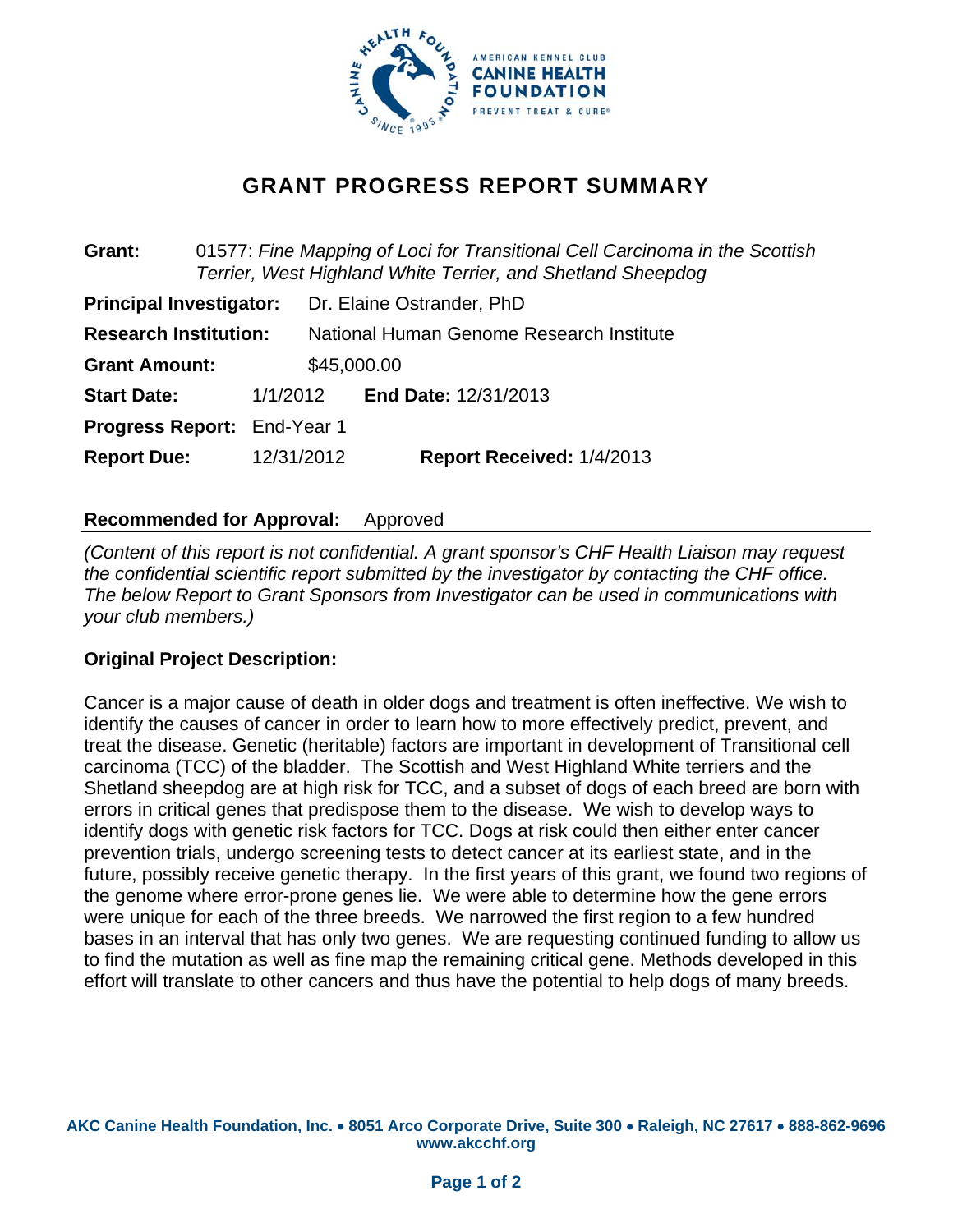

# **GRANT PROGRESS REPORT SUMMARY**

**Grant:** 01577: *Fine Mapping of Loci for Transitional Cell Carcinoma in the Scottish Terrier, West Highland White Terrier, and Shetland Sheepdog*  **Principal Investigator:** Dr. Elaine Ostrander, PhD **Research Institution:** National Human Genome Research Institute **Grant Amount:** \$45,000.00 **Start Date:** 1/1/2012 **End Date:** 12/31/2013 **Progress Report:** End-Year 1 **Report Due:** 12/31/2012 **Report Received:** 1/4/2013

## **Recommended for Approval:** Approved

*(Content of this report is not confidential. A grant sponsor's CHF Health Liaison may request the confidential scientific report submitted by the investigator by contacting the CHF office. The below Report to Grant Sponsors from Investigator can be used in communications with your club members.)* 

## **Original Project Description:**

Cancer is a major cause of death in older dogs and treatment is often ineffective. We wish to identify the causes of cancer in order to learn how to more effectively predict, prevent, and treat the disease. Genetic (heritable) factors are important in development of Transitional cell carcinoma (TCC) of the bladder. The Scottish and West Highland White terriers and the Shetland sheepdog are at high risk for TCC, and a subset of dogs of each breed are born with errors in critical genes that predispose them to the disease. We wish to develop ways to identify dogs with genetic risk factors for TCC. Dogs at risk could then either enter cancer prevention trials, undergo screening tests to detect cancer at its earliest state, and in the future, possibly receive genetic therapy. In the first years of this grant, we found two regions of the genome where error-prone genes lie. We were able to determine how the gene errors were unique for each of the three breeds. We narrowed the first region to a few hundred bases in an interval that has only two genes. We are requesting continued funding to allow us to find the mutation as well as fine map the remaining critical gene. Methods developed in this effort will translate to other cancers and thus have the potential to help dogs of many breeds.